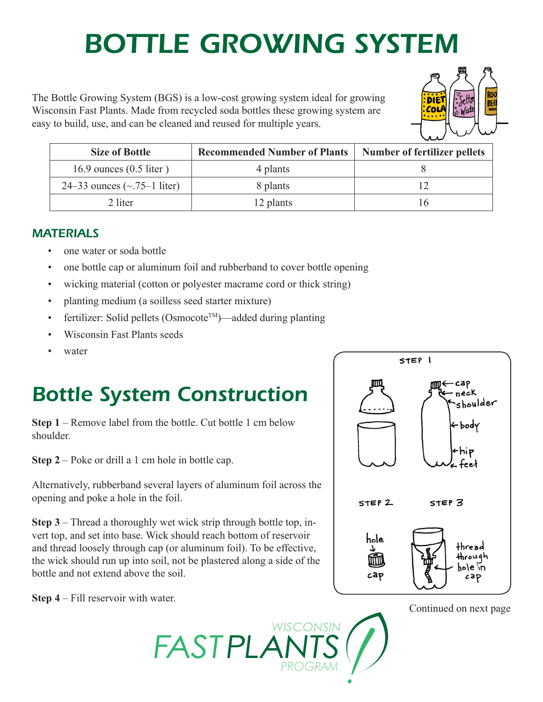# *Bottle Growing System*

The Bottle Growing System (BGS) is a low-cost growing system ideal for growing Wisconsin Fast Plants. Made from recycled soda bottles these growing system are easy to build, use, and can be cleaned and reused for multiple years.



| Size of Bottle                     | <b>Recommended Number of Plants</b> | <b>Number of fertilizer pellets</b> |
|------------------------------------|-------------------------------------|-------------------------------------|
| 16.9 ounces $(0.5$ liter)          | 4 plants                            |                                     |
| 24–33 ounces $(\sim 75 - 1)$ liter | 8 plants                            |                                     |
| 2 liter                            | 12 plants                           |                                     |

**WISCONSIN** 

#### *Materials*

- one water or soda bottle
- one bottle cap or aluminum foil and rubberband to cover bottle opening
- wicking material (cotton or polyester macrame cord or thick string)
- planting medium (a soilless seed starter mixture)
- fertilizer: Solid pellets (Osmocote<sup>TM</sup>)—added during planting
- Wisconsin Fast Plants seeds
- water

### *Bottle System Construction*

**Step 1** – Remove label from the bottle. Cut bottle 1 cm below shoulder.

**Step 2** – Poke or drill a 1 cm hole in bottle cap.

Alternatively, rubberband several layers of aluminum foil across the opening and poke a hole in the foil.

**Step 3** – Thread a thoroughly wet wick strip through bottle top, invert top, and set into base. Wick should reach bottom of reservoir and thread loosely through cap (or aluminum foil). To be effective, the wick should run up into soil, not be plastered along a side of the bottle and not extend above the soil.

FASTPLA

**Step 4** – Fill reservoir with water.



Continued on next page